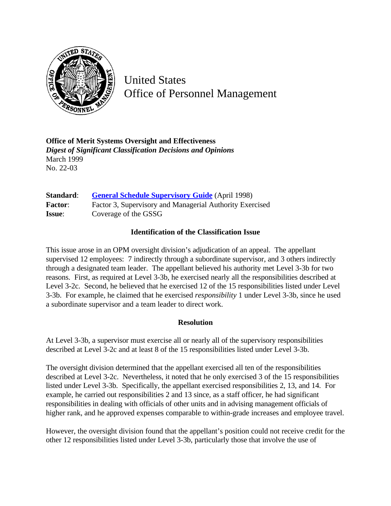

United States Office of Personnel Management

**Office of Merit Systems Oversight and Effectiveness** *Digest of Significant Classification Decisions and Opinions* March 1999 No. 22-03

**Standard:** [General Schedule Supervisory Guide](http://www.opm.gov/hr/fedclass/gssg.pdf) (April 1998) Factor: Factor 3, Supervisory and Managerial Authority Exercised **Issue**: Coverage of the GSSG

## **Identification of the Classification Issue**

This issue arose in an OPM oversight division's adjudication of an appeal. The appellant supervised 12 employees: 7 indirectly through a subordinate supervisor, and 3 others indirectly through a designated team leader. The appellant believed his authority met Level 3-3b for two reasons. First, as required at Level 3-3b, he exercised nearly all the responsibilities described at Level 3-2c. Second, he believed that he exercised 12 of the 15 responsibilities listed under Level 3-3b. For example, he claimed that he exercised *responsibility* 1 under Level 3-3b, since he used a subordinate supervisor and a team leader to direct work.

## **Resolution**

At Level 3-3b, a supervisor must exercise all or nearly all of the supervisory responsibilities described at Level 3-2c and at least 8 of the 15 responsibilities listed under Level 3-3b.

The oversight division determined that the appellant exercised all ten of the responsibilities described at Level 3-2c. Nevertheless, it noted that he only exercised 3 of the 15 responsibilities listed under Level 3-3b. Specifically, the appellant exercised responsibilities 2, 13, and 14. For example, he carried out responsibilities 2 and 13 since, as a staff officer, he had significant responsibilities in dealing with officials of other units and in advising management officials of higher rank, and he approved expenses comparable to within-grade increases and employee travel.

However, the oversight division found that the appellant's position could not receive credit for the other 12 responsibilities listed under Level 3-3b, particularly those that involve the use of